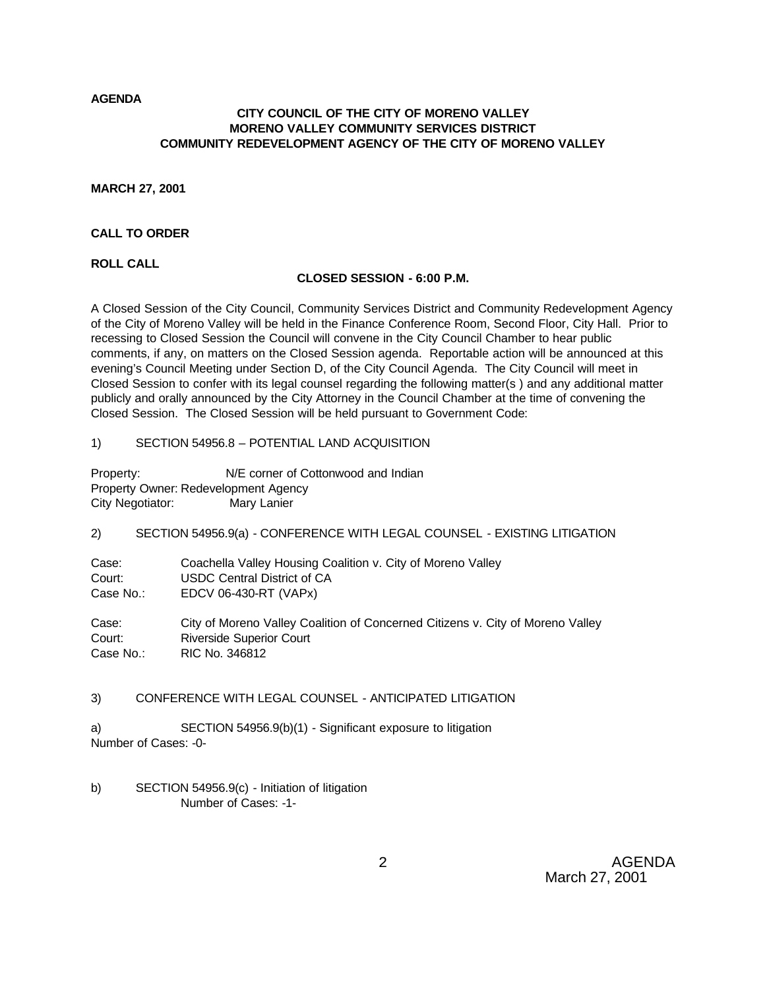**AGENDA**

## **CITY COUNCIL OF THE CITY OF MORENO VALLEY MORENO VALLEY COMMUNITY SERVICES DISTRICT COMMUNITY REDEVELOPMENT AGENCY OF THE CITY OF MORENO VALLEY**

**MARCH 27, 2001**

## **CALL TO ORDER**

**ROLL CALL**

### **CLOSED SESSION - 6:00 P.M.**

A Closed Session of the City Council, Community Services District and Community Redevelopment Agency of the City of Moreno Valley will be held in the Finance Conference Room, Second Floor, City Hall. Prior to recessing to Closed Session the Council will convene in the City Council Chamber to hear public comments, if any, on matters on the Closed Session agenda. Reportable action will be announced at this evening's Council Meeting under Section D, of the City Council Agenda. The City Council will meet in Closed Session to confer with its legal counsel regarding the following matter(s ) and any additional matter publicly and orally announced by the City Attorney in the Council Chamber at the time of convening the Closed Session. The Closed Session will be held pursuant to Government Code:

1) SECTION 54956.8 – POTENTIAL LAND ACQUISITION

Property: N/E corner of Cottonwood and Indian Property Owner: Redevelopment Agency City Negotiator: Mary Lanier

2) SECTION 54956.9(a) - CONFERENCE WITH LEGAL COUNSEL - EXISTING LITIGATION

| Case:     | Coachella Valley Housing Coalition v. City of Moreno Valley |
|-----------|-------------------------------------------------------------|
| Court:    | USDC Central District of CA                                 |
| Case No.: | EDCV 06-430-RT (VAPx)                                       |

Case: City of Moreno Valley Coalition of Concerned Citizens v. City of Moreno Valley Court: Riverside Superior Court Case No.: RIC No. 346812

# 3) CONFERENCE WITH LEGAL COUNSEL - ANTICIPATED LITIGATION

a) SECTION 54956.9(b)(1) - Significant exposure to litigation Number of Cases: -0-

b) SECTION 54956.9(c) - Initiation of litigation Number of Cases: -1-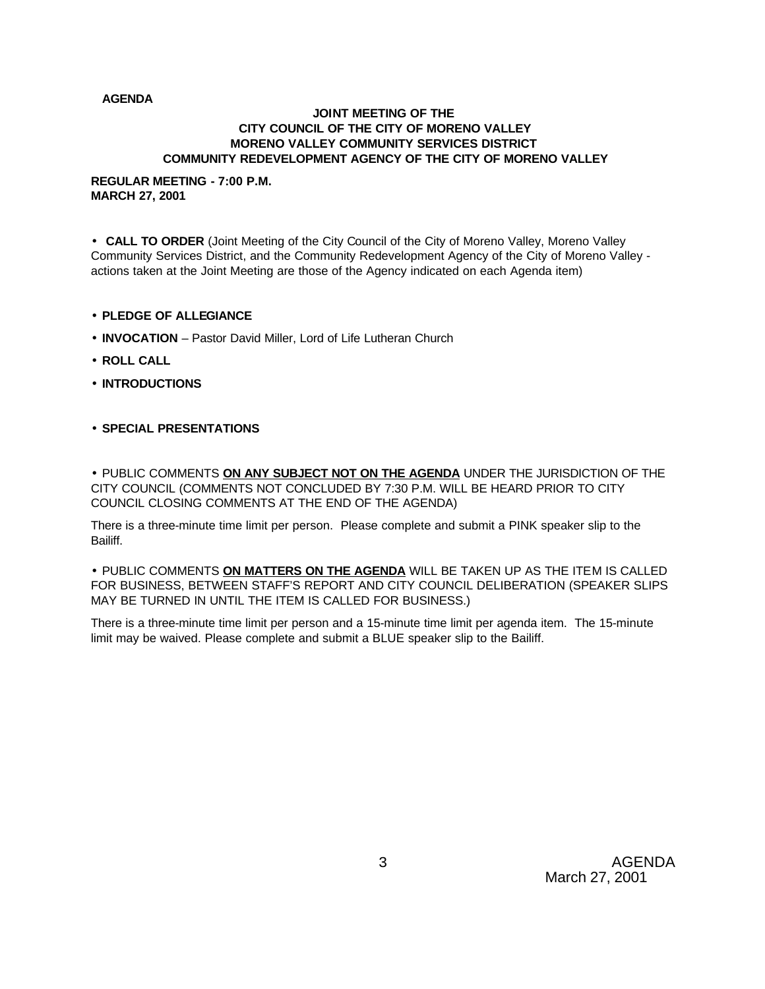### **AGENDA**

#### **JOINT MEETING OF THE CITY COUNCIL OF THE CITY OF MORENO VALLEY MORENO VALLEY COMMUNITY SERVICES DISTRICT COMMUNITY REDEVELOPMENT AGENCY OF THE CITY OF MORENO VALLEY**

#### **REGULAR MEETING - 7:00 P.M. MARCH 27, 2001**

• **CALL TO ORDER** (Joint Meeting of the City Council of the City of Moreno Valley, Moreno Valley Community Services District, and the Community Redevelopment Agency of the City of Moreno Valley actions taken at the Joint Meeting are those of the Agency indicated on each Agenda item)

- **PLEDGE OF ALLEGIANCE**
- **INVOCATION** Pastor David Miller, Lord of Life Lutheran Church
- **ROLL CALL**
- **INTRODUCTIONS**
- **SPECIAL PRESENTATIONS**

• PUBLIC COMMENTS **ON ANY SUBJECT NOT ON THE AGENDA** UNDER THE JURISDICTION OF THE CITY COUNCIL (COMMENTS NOT CONCLUDED BY 7:30 P.M. WILL BE HEARD PRIOR TO CITY COUNCIL CLOSING COMMENTS AT THE END OF THE AGENDA)

There is a three-minute time limit per person. Please complete and submit a PINK speaker slip to the Bailiff.

• PUBLIC COMMENTS **ON MATTERS ON THE AGENDA** WILL BE TAKEN UP AS THE ITEM IS CALLED FOR BUSINESS, BETWEEN STAFF'S REPORT AND CITY COUNCIL DELIBERATION (SPEAKER SLIPS MAY BE TURNED IN UNTIL THE ITEM IS CALLED FOR BUSINESS.)

There is a three-minute time limit per person and a 15-minute time limit per agenda item. The 15-minute limit may be waived. Please complete and submit a BLUE speaker slip to the Bailiff.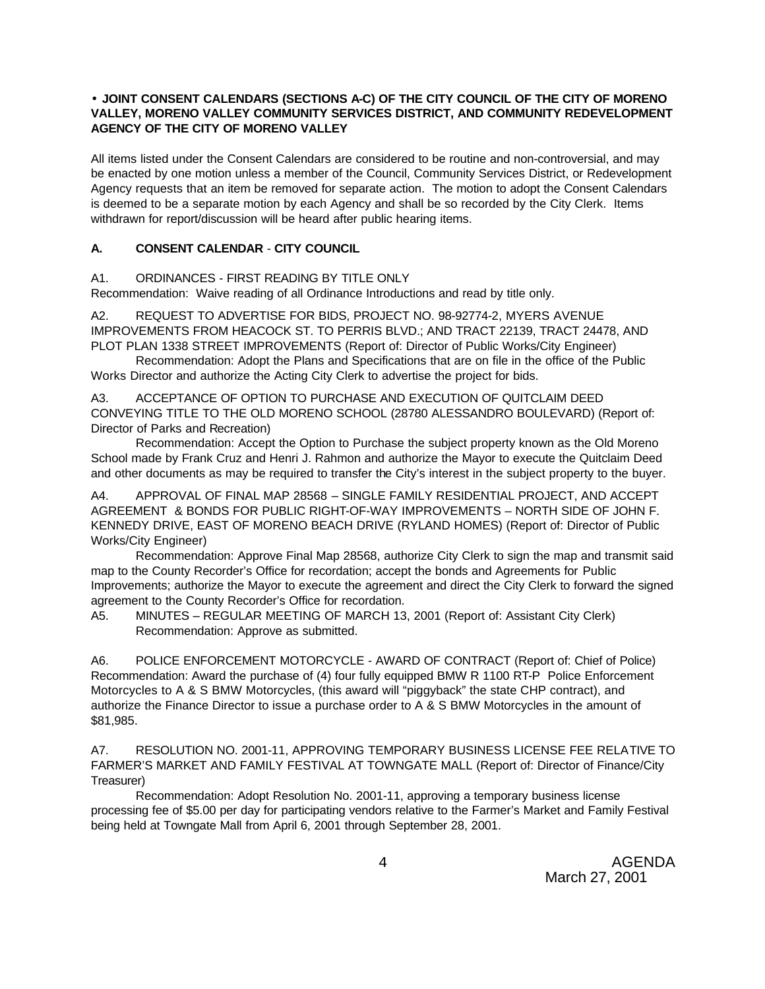## • **JOINT CONSENT CALENDARS (SECTIONS A-C) OF THE CITY COUNCIL OF THE CITY OF MORENO VALLEY, MORENO VALLEY COMMUNITY SERVICES DISTRICT, AND COMMUNITY REDEVELOPMENT AGENCY OF THE CITY OF MORENO VALLEY**

All items listed under the Consent Calendars are considered to be routine and non-controversial, and may be enacted by one motion unless a member of the Council, Community Services District, or Redevelopment Agency requests that an item be removed for separate action. The motion to adopt the Consent Calendars is deemed to be a separate motion by each Agency and shall be so recorded by the City Clerk. Items withdrawn for report/discussion will be heard after public hearing items.

## **A. CONSENT CALENDAR** - **CITY COUNCIL**

## A1. ORDINANCES - FIRST READING BY TITLE ONLY

Recommendation: Waive reading of all Ordinance Introductions and read by title only.

A2. REQUEST TO ADVERTISE FOR BIDS, PROJECT NO. 98-92774-2, MYERS AVENUE IMPROVEMENTS FROM HEACOCK ST. TO PERRIS BLVD.; AND TRACT 22139, TRACT 24478, AND PLOT PLAN 1338 STREET IMPROVEMENTS (Report of: Director of Public Works/City Engineer)

Recommendation: Adopt the Plans and Specifications that are on file in the office of the Public Works Director and authorize the Acting City Clerk to advertise the project for bids.

A3. ACCEPTANCE OF OPTION TO PURCHASE AND EXECUTION OF QUITCLAIM DEED CONVEYING TITLE TO THE OLD MORENO SCHOOL (28780 ALESSANDRO BOULEVARD) (Report of: Director of Parks and Recreation)

Recommendation: Accept the Option to Purchase the subject property known as the Old Moreno School made by Frank Cruz and Henri J. Rahmon and authorize the Mayor to execute the Quitclaim Deed and other documents as may be required to transfer the City's interest in the subject property to the buyer.

A4. APPROVAL OF FINAL MAP 28568 – SINGLE FAMILY RESIDENTIAL PROJECT, AND ACCEPT AGREEMENT & BONDS FOR PUBLIC RIGHT-OF-WAY IMPROVEMENTS – NORTH SIDE OF JOHN F. KENNEDY DRIVE, EAST OF MORENO BEACH DRIVE (RYLAND HOMES) (Report of: Director of Public Works/City Engineer)

Recommendation: Approve Final Map 28568, authorize City Clerk to sign the map and transmit said map to the County Recorder's Office for recordation; accept the bonds and Agreements for Public Improvements; authorize the Mayor to execute the agreement and direct the City Clerk to forward the signed agreement to the County Recorder's Office for recordation.

A5. MINUTES – REGULAR MEETING OF MARCH 13, 2001 (Report of: Assistant City Clerk) Recommendation: Approve as submitted.

A6. POLICE ENFORCEMENT MOTORCYCLE - AWARD OF CONTRACT (Report of: Chief of Police) Recommendation: Award the purchase of (4) four fully equipped BMW R 1100 RT-P Police Enforcement Motorcycles to A & S BMW Motorcycles, (this award will "piggyback" the state CHP contract), and authorize the Finance Director to issue a purchase order to A & S BMW Motorcycles in the amount of \$81,985.

A7. RESOLUTION NO. 2001-11, APPROVING TEMPORARY BUSINESS LICENSE FEE RELATIVE TO FARMER'S MARKET AND FAMILY FESTIVAL AT TOWNGATE MALL (Report of: Director of Finance/City Treasurer)

Recommendation: Adopt Resolution No. 2001-11, approving a temporary business license processing fee of \$5.00 per day for participating vendors relative to the Farmer's Market and Family Festival being held at Towngate Mall from April 6, 2001 through September 28, 2001.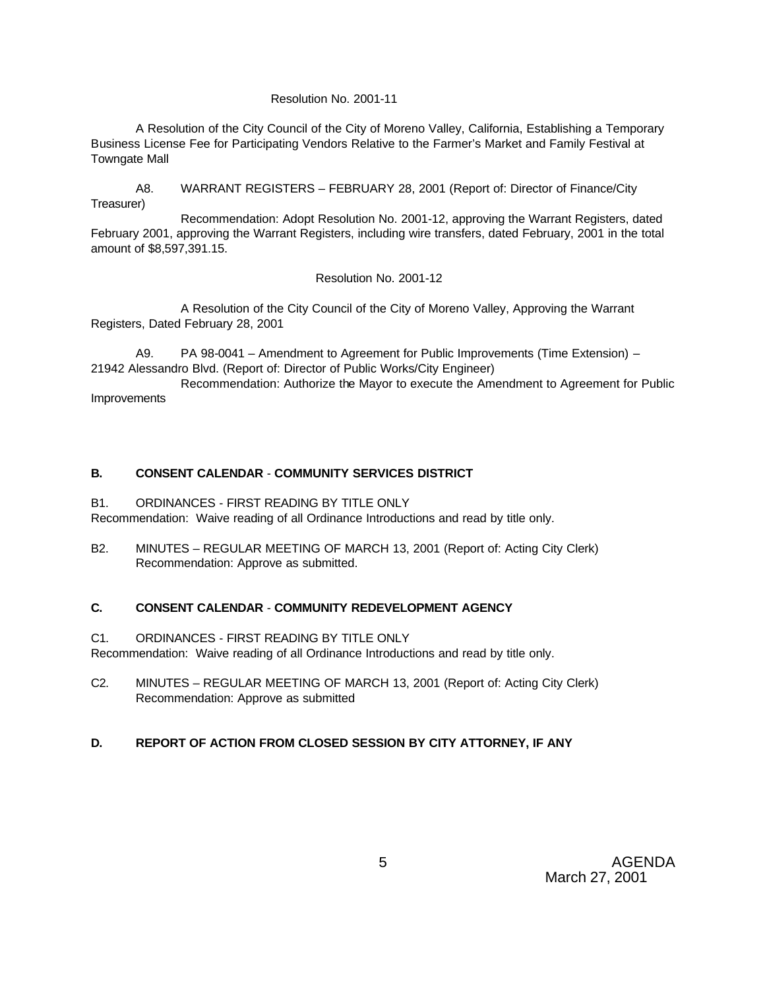### Resolution No. 2001-11

A Resolution of the City Council of the City of Moreno Valley, California, Establishing a Temporary Business License Fee for Participating Vendors Relative to the Farmer's Market and Family Festival at Towngate Mall

A8. WARRANT REGISTERS – FEBRUARY 28, 2001 (Report of: Director of Finance/City Treasurer)

Recommendation: Adopt Resolution No. 2001-12, approving the Warrant Registers, dated February 2001, approving the Warrant Registers, including wire transfers, dated February, 2001 in the total amount of \$8,597,391.15.

#### Resolution No. 2001-12

A Resolution of the City Council of the City of Moreno Valley, Approving the Warrant Registers, Dated February 28, 2001

A9. PA 98-0041 – Amendment to Agreement for Public Improvements (Time Extension) – 21942 Alessandro Blvd. (Report of: Director of Public Works/City Engineer)

Recommendation: Authorize the Mayor to execute the Amendment to Agreement for Public Improvements

## **B. CONSENT CALENDAR** - **COMMUNITY SERVICES DISTRICT**

### B1. ORDINANCES - FIRST READING BY TITLE ONLY

Recommendation: Waive reading of all Ordinance Introductions and read by title only.

B2. MINUTES – REGULAR MEETING OF MARCH 13, 2001 (Report of: Acting City Clerk) Recommendation: Approve as submitted.

### **C. CONSENT CALENDAR** - **COMMUNITY REDEVELOPMENT AGENCY**

## C1. ORDINANCES - FIRST READING BY TITLE ONLY

Recommendation: Waive reading of all Ordinance Introductions and read by title only.

C2. MINUTES – REGULAR MEETING OF MARCH 13, 2001 (Report of: Acting City Clerk) Recommendation: Approve as submitted

# **D. REPORT OF ACTION FROM CLOSED SESSION BY CITY ATTORNEY, IF ANY**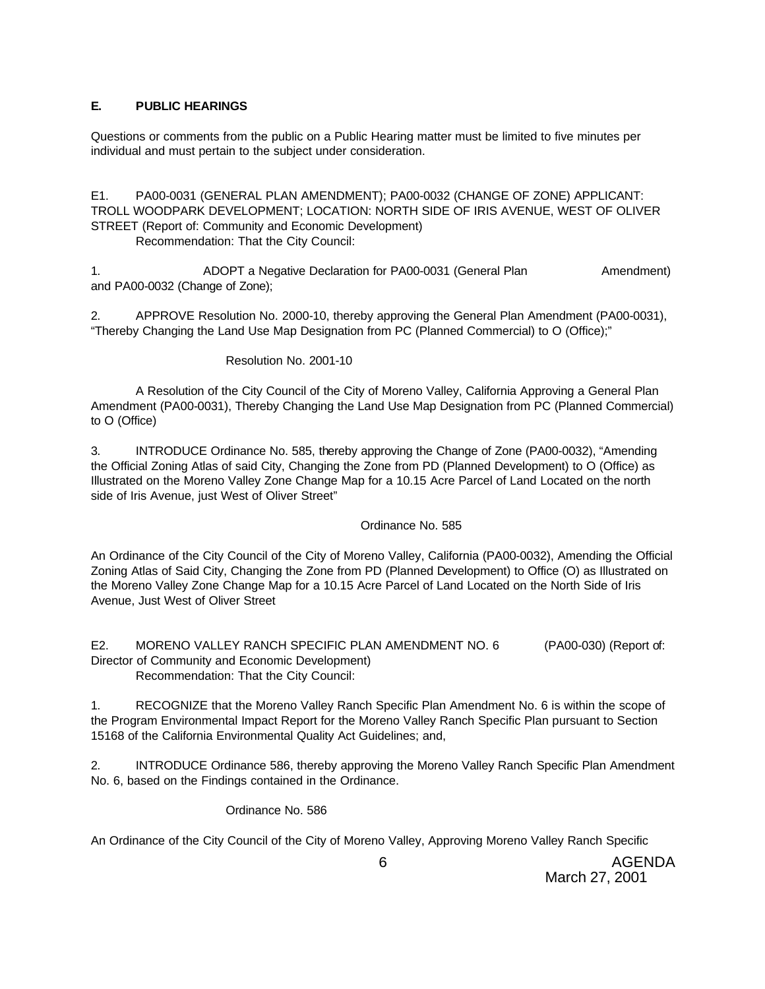# **E. PUBLIC HEARINGS**

Questions or comments from the public on a Public Hearing matter must be limited to five minutes per individual and must pertain to the subject under consideration.

E1. PA00-0031 (GENERAL PLAN AMENDMENT); PA00-0032 (CHANGE OF ZONE) APPLICANT: TROLL WOODPARK DEVELOPMENT; LOCATION: NORTH SIDE OF IRIS AVENUE, WEST OF OLIVER STREET (Report of: Community and Economic Development)

Recommendation: That the City Council:

1. ADOPT a Negative Declaration for PA00-0031 (General Plan Amendment) and PA00-0032 (Change of Zone);

2. APPROVE Resolution No. 2000-10, thereby approving the General Plan Amendment (PA00-0031), "Thereby Changing the Land Use Map Designation from PC (Planned Commercial) to O (Office);"

# Resolution No. 2001-10

A Resolution of the City Council of the City of Moreno Valley, California Approving a General Plan Amendment (PA00-0031), Thereby Changing the Land Use Map Designation from PC (Planned Commercial) to O (Office)

3. INTRODUCE Ordinance No. 585, thereby approving the Change of Zone (PA00-0032), "Amending the Official Zoning Atlas of said City, Changing the Zone from PD (Planned Development) to O (Office) as Illustrated on the Moreno Valley Zone Change Map for a 10.15 Acre Parcel of Land Located on the north side of Iris Avenue, just West of Oliver Street"

# Ordinance No. 585

An Ordinance of the City Council of the City of Moreno Valley, California (PA00-0032), Amending the Official Zoning Atlas of Said City, Changing the Zone from PD (Planned Development) to Office (O) as Illustrated on the Moreno Valley Zone Change Map for a 10.15 Acre Parcel of Land Located on the North Side of Iris Avenue, Just West of Oliver Street

E2. MORENO VALLEY RANCH SPECIFIC PLAN AMENDMENT NO. 6 (PA00-030) (Report of: Director of Community and Economic Development) Recommendation: That the City Council:

1. RECOGNIZE that the Moreno Valley Ranch Specific Plan Amendment No. 6 is within the scope of the Program Environmental Impact Report for the Moreno Valley Ranch Specific Plan pursuant to Section 15168 of the California Environmental Quality Act Guidelines; and,

2. INTRODUCE Ordinance 586, thereby approving the Moreno Valley Ranch Specific Plan Amendment No. 6, based on the Findings contained in the Ordinance.

Ordinance No. 586

An Ordinance of the City Council of the City of Moreno Valley, Approving Moreno Valley Ranch Specific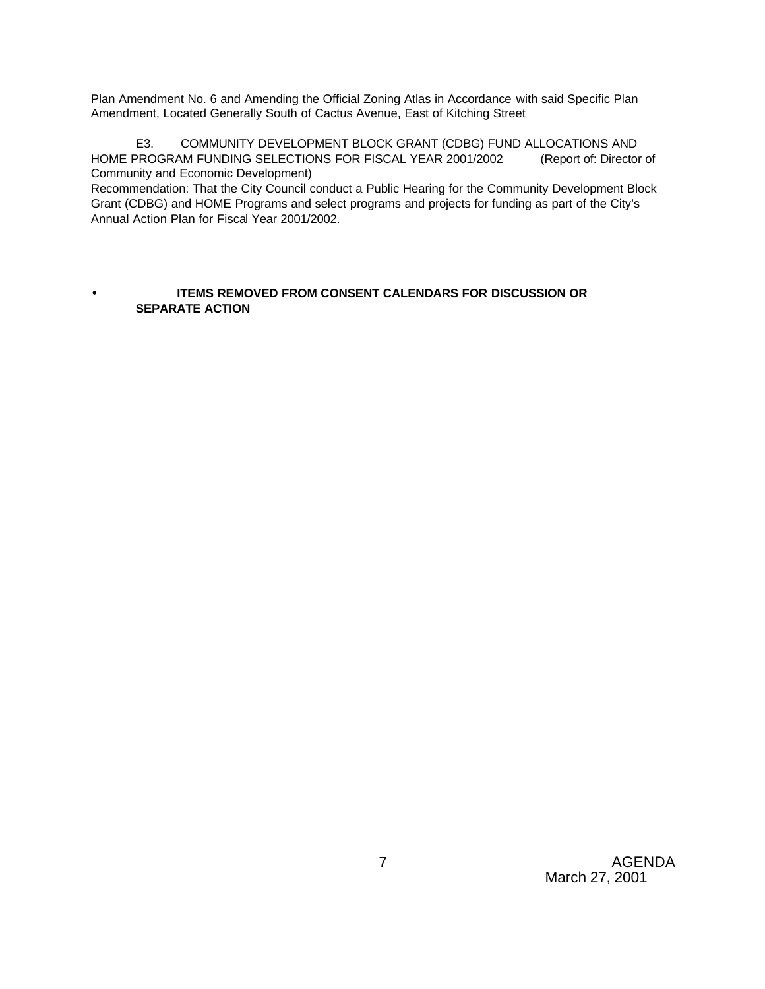Plan Amendment No. 6 and Amending the Official Zoning Atlas in Accordance with said Specific Plan Amendment, Located Generally South of Cactus Avenue, East of Kitching Street

E3. COMMUNITY DEVELOPMENT BLOCK GRANT (CDBG) FUND ALLOCATIONS AND HOME PROGRAM FUNDING SELECTIONS FOR FISCAL YEAR 2001/2002 (Report of: Director of Community and Economic Development)

Recommendation: That the City Council conduct a Public Hearing for the Community Development Block Grant (CDBG) and HOME Programs and select programs and projects for funding as part of the City's Annual Action Plan for Fiscal Year 2001/2002.

## **ITEMS REMOVED FROM CONSENT CALENDARS FOR DISCUSSION OR SEPARATE ACTION**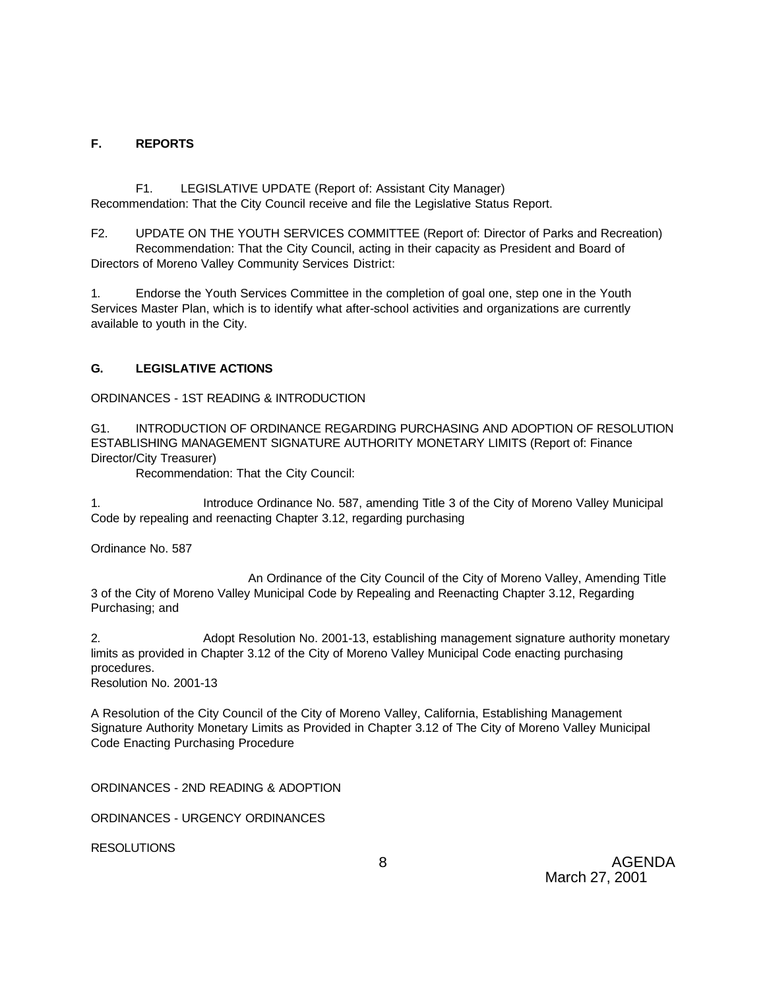# **F. REPORTS**

F1. LEGISLATIVE UPDATE (Report of: Assistant City Manager) Recommendation: That the City Council receive and file the Legislative Status Report.

F2. UPDATE ON THE YOUTH SERVICES COMMITTEE (Report of: Director of Parks and Recreation) Recommendation: That the City Council, acting in their capacity as President and Board of Directors of Moreno Valley Community Services District:

1. Endorse the Youth Services Committee in the completion of goal one, step one in the Youth Services Master Plan, which is to identify what after-school activities and organizations are currently available to youth in the City.

# **G. LEGISLATIVE ACTIONS**

ORDINANCES - 1ST READING & INTRODUCTION

G1. INTRODUCTION OF ORDINANCE REGARDING PURCHASING AND ADOPTION OF RESOLUTION ESTABLISHING MANAGEMENT SIGNATURE AUTHORITY MONETARY LIMITS (Report of: Finance Director/City Treasurer)

Recommendation: That the City Council:

1. Introduce Ordinance No. 587, amending Title 3 of the City of Moreno Valley Municipal Code by repealing and reenacting Chapter 3.12, regarding purchasing

Ordinance No. 587

 An Ordinance of the City Council of the City of Moreno Valley, Amending Title 3 of the City of Moreno Valley Municipal Code by Repealing and Reenacting Chapter 3.12, Regarding Purchasing; and

2. Adopt Resolution No. 2001-13, establishing management signature authority monetary limits as provided in Chapter 3.12 of the City of Moreno Valley Municipal Code enacting purchasing procedures. Resolution No. 2001-13

A Resolution of the City Council of the City of Moreno Valley, California, Establishing Management Signature Authority Monetary Limits as Provided in Chapter 3.12 of The City of Moreno Valley Municipal Code Enacting Purchasing Procedure

ORDINANCES - 2ND READING & ADOPTION

ORDINANCES - URGENCY ORDINANCES

**RESOLUTIONS**